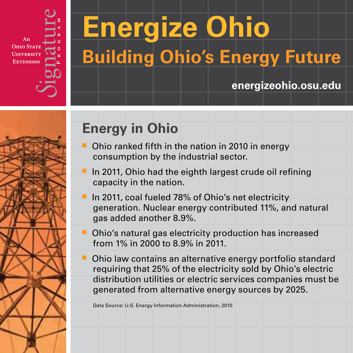An **ОнІО STAT UNIVERSITY EXTENSION** 

# **Energize Ohio Building Ohio's Energy Future**

### **energizeohio.osu.edu**



## **Energy in Ohio**

- $\blacksquare$  Ohio ranked fifth in the nation in 2010 in energy consumption by the industrial sector.
- In 2011, Ohio had the eighth largest crude oil refining capacity in the nation.
- In 2011, coal fueled 78% of Ohio's net electricity generation. Nuclear energy contributed 11%, and natural gas added another 8.9%.
- $\blacksquare$  Ohio's natural gas electricity production has increased from 1% in 2000 to 8.9% in 2011.
- Ohio law contains an alternative energy portfolio standard requiring that 25% of the electricity sold by Ohio's electric distribution utilities or electric services companies must be generated from alternative energy sources by 2025.

Data Source: U.S. Energy Information Administration, 2010